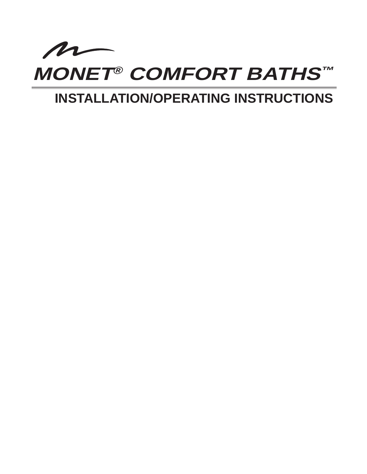

# **INSTALLATION/OPERATING INSTRUCTIONS**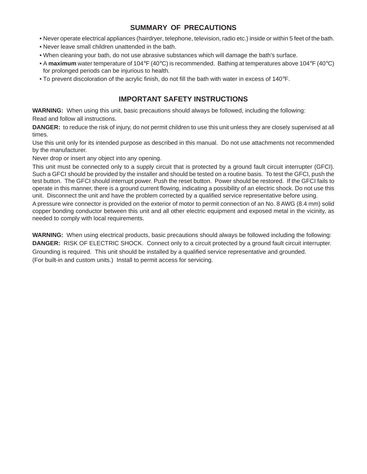### **SUMMARY OF PRECAUTIONS**

- Never operate electrical appliances (hairdryer, telephone, television, radio etc.) inside or within 5 feet of the bath.
- Never leave small children unattended in the bath.
- When cleaning your bath, do not use abrasive substances which will damage the bath's surface.
- A **maximum** water temperature of 104°F (40°C) is recommended. Bathing at temperatures above 104°F (40°C) for prolonged periods can be injurious to health.
- To prevent discoloration of the acrylic finish, do not fill the bath with water in excess of 140°F.

### **IMPORTANT SAFETY INSTRUCTIONS**

**WARNING:** When using this unit, basic precautions should always be followed, including the following: Read and follow all instructions.

**DANGER:** to reduce the risk of injury, do not permit children to use this unit unless they are closely supervised at all times.

Use this unit only for its intended purpose as described in this manual. Do not use attachments not recommended by the manufacturer.

Never drop or insert any object into any opening.

This unit must be connected only to a supply circuit that is protected by a ground fault circuit interrupter (GFCI). Such a GFCI should be provided by the installer and should be tested on a routine basis. To test the GFCI, push the test button. The GFCI should interrupt power. Push the reset button. Power should be restored. If the GFCI fails to operate in this manner, there is a ground current flowing, indicating a possibility of an electric shock. Do not use this unit. Disconnect the unit and have the problem corrected by a qualified service representative before using.

A pressure wire connector is provided on the exterior of motor to permit connection of an No. 8 AWG (8.4 mm) solid copper bonding conductor between this unit and all other electric equipment and exposed metal in the vicinity, as needed to comply with local requirements.

**WARNING:** When using electrical products, basic precautions should always be followed including the following: **DANGER:** RISK OF ELECTRIC SHOCK. Connect only to a circuit protected by a ground fault circuit interrupter. Grounding is required. This unit should be installed by a qualified service representative and grounded. (For built-in and custom units.) Install to permit access for servicing.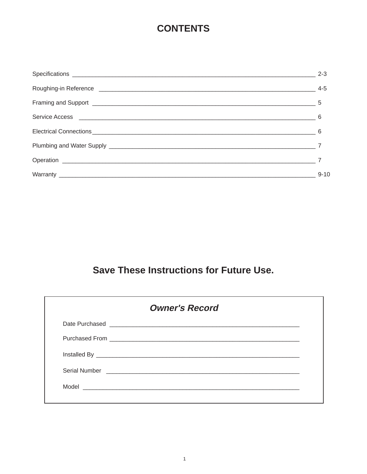## **CONTENTS**

|                                                                                                                               | $2-3$    |
|-------------------------------------------------------------------------------------------------------------------------------|----------|
|                                                                                                                               |          |
|                                                                                                                               |          |
| Service Access 2000 Communication of the Access 2000 Communication of the Access 2000 Communication of the Access<br>$\sim$ 6 |          |
|                                                                                                                               |          |
|                                                                                                                               |          |
|                                                                                                                               |          |
|                                                                                                                               | $9 - 10$ |

## **Save These Instructions for Future Use.**

| <b>Owner's Record</b>                                                                                                                                                          |
|--------------------------------------------------------------------------------------------------------------------------------------------------------------------------------|
|                                                                                                                                                                                |
|                                                                                                                                                                                |
|                                                                                                                                                                                |
|                                                                                                                                                                                |
| Model <b>Model Model Model Model Model Model Model Model Model Model Model Model Model Model Model Model Model Model Model Model Model Model Model Model Model Model Model</b> |
|                                                                                                                                                                                |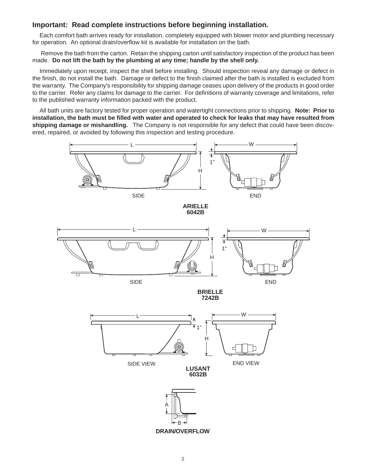#### **Important: Read complete instructions before beginning installation.**

Each comfort bath arrives ready for installation, completely equipped with blower motor and plumbing necessary for operation. An optional drain/overflow kit is available for installation on the bath.

Remove the bath from the carton. Retain the shipping carton until satisfactory inspection of the product has been made. **Do not lift the bath by the plumbing at any time; handle by the shell only.**

Immediately upon receipt, inspect the shell before installing. Should inspection reveal any damage or defect in the finish, do not install the bath. Damage or defect to the finish claimed after the bath is installed is excluded from the warranty. The Company's responsibility for shipping damage ceases upon delivery of the products in good order to the carrier. Refer any claims for damage to the carrier. For definitions of warranty coverage and limitations, refer to the published warranty information packed with the product.

All bath units are factory tested for proper operation and watertight connections prior to shipping. **Note: Prior to installation, the bath must be filled with water and operated to check for leaks that may have resulted from shipping damage or mishandling.** The Company is not responsible for any defect that could have been discovered, repaired, or avoided by following this inspection and testing procedure.

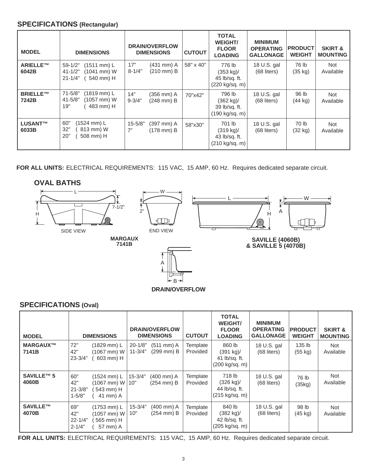#### **SPECIFICATIONS (Rectangular)**

| <b>MODEL</b>             | <b>DIMENSIONS</b>                                                                                 | <b>DRAIN/OVERFLOW</b><br><b>DIMENSIONS</b>                   | <b>CUTOUT</b> | <b>TOTAL</b><br><b>WEIGHT/</b><br><b>FLOOR</b><br><b>LOADING</b>  | <b>MINIMUM</b><br><b>OPERATING</b><br><b>GALLONAGE</b> | <b>PRODUCT</b><br><b>WEIGHT</b> | <b>SKIRT &amp;</b><br><b>MOUNTING</b> |
|--------------------------|---------------------------------------------------------------------------------------------------|--------------------------------------------------------------|---------------|-------------------------------------------------------------------|--------------------------------------------------------|---------------------------------|---------------------------------------|
| ARIELLE™<br>6042B        | $59-1/2"$<br>$(1511 \text{ mm}) L$<br>$41 - 1/2"$<br>$(1041$ mm $)$ W<br>$21 - 1/4"$<br>540 mm) H | 17"<br>$(431$ mm $)$ A<br>$8 - 1/4"$<br>$(210 \text{ mm})$ B | 58" x 40"     | 776 lb<br>$(353 \text{ kg})/$<br>45 lb/sq. ft.<br>(220 kg/sq. m)  | 18 U.S. gal<br>$(68$ liters)                           | 76 lb<br>$(35 \text{ kg})$      | <b>Not</b><br>Available               |
| <b>BRIELLE™</b><br>7242B | (1819 mm) L<br>$71 - 5/8"$<br>$41 - 5/8"$<br>$(1057$ mm $) W$<br>19"<br>483 mm) H                 | 14"<br>$(356$ mm $)$ A<br>$9 - 3/4"$<br>$(248$ mm $)$ B      | 70"x42"       | 796 lb<br>(362 kg)<br>39 lb/sq. ft.<br>(190 kg/sq. m)             | 18 U.S. gal<br>$(68$ liters)                           | 96 lb<br>$(44$ kg)              | <b>Not</b><br>Available               |
| <b>LUSANT™</b><br>6033B  | 60"<br>(1524 mm) L<br>32"<br>813 mm) W<br>20"<br>508 mm) H                                        | $15 - 5/8"$<br>(397 mm) A<br>7"<br>(178 mm) B                | 58"x30"       | 701 lb<br>$(319 \text{ kg})$ /<br>43 lb/sq. ft.<br>(210 kg/sq. m) | 18 U.S. gal<br>$(68$ liters)                           | 70 lb<br>$(32 \text{ kg})$      | Not<br>Available                      |

**FOR ALL UNITS:** ELECTRICAL REQUIREMENTS: 115 VAC, 15 AMP, 60 Hz. Requires dedicated separate circuit.

#### **OVAL BATHS**



**DRAIN/OVERFLOW**  $\leftarrow$  B

A

### **SPECIFICATIONS (Oval)**

| <b>MODEL</b>        | <b>DIMENSIONS</b>                                                                                        | DRAIN/OVERFLOW<br><b>DIMENSIONS</b>                         | <b>CUTOUT</b>        | <b>TOTAL</b><br><b>WEIGHT/</b><br><b>FLOOR</b><br><b>LOADING</b>          | <b>MINIMUM</b><br><b>OPERATING</b><br><b>GALLONAGE</b> | <b>PRODUCT</b><br><b>WEIGHT</b> | <b>SKIRT &amp;</b><br><b>MOUNTING</b> |
|---------------------|----------------------------------------------------------------------------------------------------------|-------------------------------------------------------------|----------------------|---------------------------------------------------------------------------|--------------------------------------------------------|---------------------------------|---------------------------------------|
| MARGAUX™<br>7141B   | 72"<br>(1829 mm) L<br>42"<br>(1067 mm) W<br>603 mm) H<br>$23 - 3/4"$                                     | $20 - 1/8"$<br>$(511$ mm $)$ A<br>(299 mm) B<br>$11 - 3/4"$ | Template<br>Provided | 860 lb<br>$(391 \text{ kg})$<br>41 lb/sq. ft.<br>$(200 \text{ kg/sq. m})$ | 18 U.S. gal<br>(68 liters)                             | 135 lb<br>(55 kg)               | Not<br>Available                      |
| SAVILLE™ 5<br>4060B | 60"<br>(1524 mm) L<br>$(1067$ mm $)$ W<br>42"<br>$21 - 3/8"$<br>543 mm) H<br>$1 - 5/8"$<br>41 mm) A      | $15 - 3/4"$<br>$(400$ mm $)$ A<br>(254 mm) B<br>10"         | Template<br>Provided | 718 lb<br>$(326 \text{ kg})$ /<br>44 lb/sq. ft.<br>(215 kg/sq. m)         | 18 U.S. gal<br>(68 liters)                             | 76 lb<br>(35kg)                 | Not<br>Available                      |
| SAVILLE™<br>4070B   | 69"<br>$(1753 \text{ mm}) L$<br>42"<br>(1057 mm) W<br>565 mm) H<br>$22 - 1/4"$<br>$2 - 1/4"$<br>57 mm) A | $15 - 3/4"$<br>(400 mm) A<br>10"<br>$(254$ mm $)$ B         | Template<br>Provided | 840 lb<br>$(382 \text{ kg})$ /<br>42 lb/sq. ft.<br>(205 kg/sq. m)         | 18 U.S. gal<br>$(68$ liters)                           | 98 lb<br>$(45 \text{ kg})$      | Not<br>Available                      |

**FOR ALL UNITS:** ELECTRICAL REQUIREMENTS: 115 VAC, 15 AMP, 60 Hz. Requires dedicated separate circuit.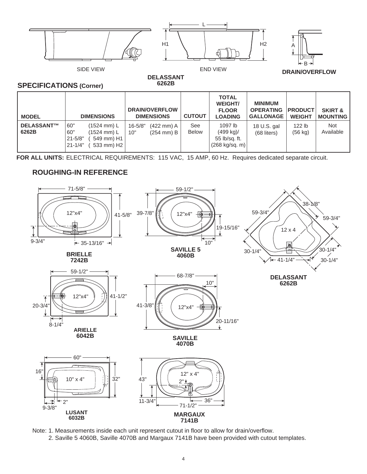

**DELASSANT 6262B**

#### **SPECIFICATIONS (Corner)**

| <b>MODEL</b>        | <b>DIMENSIONS</b>                                                                                          | <b>DRAIN/OVERFLOW</b><br><b>DIMENSIONS</b>                         | <b>CUTOUT</b>       | <b>TOTAL</b><br><b>WEIGHT/</b><br><b>FLOOR</b><br><b>LOADING</b> | <b>MINIMUM</b><br><b>OPERATING</b><br><b>GALLONAGE</b> | <b>PRODUCT</b><br><b>WEIGHT</b> | <b>SKIRT &amp;</b><br><b>MOUNTING</b> |
|---------------------|------------------------------------------------------------------------------------------------------------|--------------------------------------------------------------------|---------------------|------------------------------------------------------------------|--------------------------------------------------------|---------------------------------|---------------------------------------|
| DELASSANT™<br>6262B | 60"<br>$(1524 \, \text{mm})$ L<br>60"<br>(1524 mm) L<br>$21 - 5/8"$<br>549 mm) H1<br>21-1/4"<br>533 mm) H2 | $16 - 5/8"$<br>$(422 \text{ mm})$ A<br>$(254 \text{ mm})$ B<br>10" | See<br><b>Below</b> | 1097 lb<br>(499 kg)<br>55 lb/sq. ft.<br>$(268 \text{ kg/sq. m})$ | 18 U.S. gal<br>(68 liters)                             | 122 lb<br>(56 kg)               | <b>Not</b><br>Available               |

**FOR ALL UNITS:** ELECTRICAL REQUIREMENTS: 115 VAC, 15 AMP, 60 Hz. Requires dedicated separate circuit.

### **ROUGHING-IN REFERENCE**



Note: 1. Measurements inside each unit represent cutout in floor to allow for drain/overflow.

2. Saville 5 4060B, Saville 4070B and Margaux 7141B have been provided with cutout templates.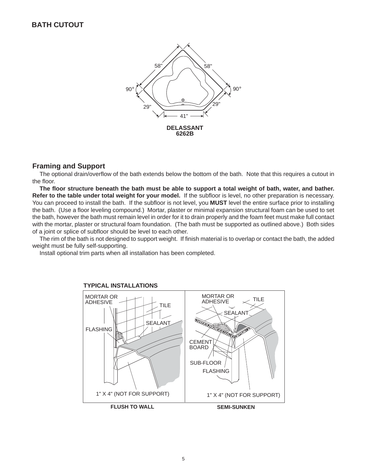![](_page_6_Figure_1.jpeg)

#### **Framing and Support**

The optional drain/overflow of the bath extends below the bottom of the bath. Note that this requires a cutout in the floor.

**The floor structure beneath the bath must be able to support a total weight of bath, water, and bather. Refer to the table under total weight for your model.** If the subfloor is level, no other preparation is necessary. You can proceed to install the bath.If the subfloor is not level, you **MUST** level the entire surface prior to installing the bath. (Use a floor leveling compound.) Mortar, plaster or minimal expansion structural foam can be used to set the bath, however the bath must remain level in order for it to drain properly and the foam feet must make full contact with the mortar, plaster or structural foam foundation. (The bath must be supported as outlined above.) Both sides of a joint or splice of subfloor should be level to each other.

The rim of the bath is not designed to support weight. If finish material is to overlap or contact the bath, the added weight must be fully self-supporting.

Install optional trim parts when all installation has been completed.

![](_page_6_Figure_7.jpeg)

#### **TYPICAL INSTALLATIONS**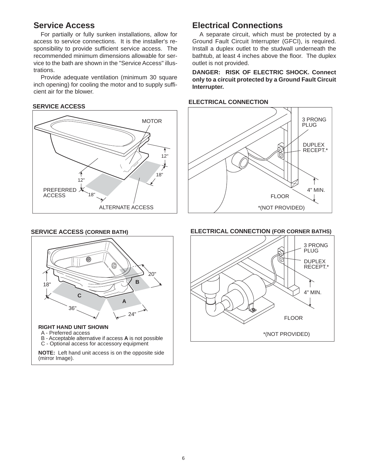### **Service Access**

For partially or fully sunken installations, allow for access to service connections. It is the installer's responsibility to provide sufficient service access. The recommended minimum dimensions allowable for service to the bath are shown in the "Service Access" illustrations.

Provide adequate ventilation (minimum 30 square inch opening) for cooling the motor and to supply sufficient air for the blower.

#### **SERVICE ACCESS**

![](_page_7_Figure_4.jpeg)

### **Electrical Connections**

A separate circuit, which must be protected by a Ground Fault Circuit Interrupter (GFCI), is required. Install a duplex outlet to the studwall underneath the bathtub, at least 4 inches above the floor. The duplex outlet is not provided.

**DANGER: RISK OF ELECTRIC SHOCK. Connect only to a circuit protected by a Ground Fault Circuit Interrupter.**

#### **ELECTRICAL CONNECTION**

![](_page_7_Figure_9.jpeg)

#### **SERVICE ACCESS (CORNER BATH)**

![](_page_7_Figure_11.jpeg)

- A Preferred access
- B Acceptable alternative if access **A** is not possible C - Optional access for accessory equipment

**NOTE:** Left hand unit access is on the opposite side (mirror Image).

#### **ELECTRICAL CONNECTION (FOR CORNER BATHS)**

![](_page_7_Figure_17.jpeg)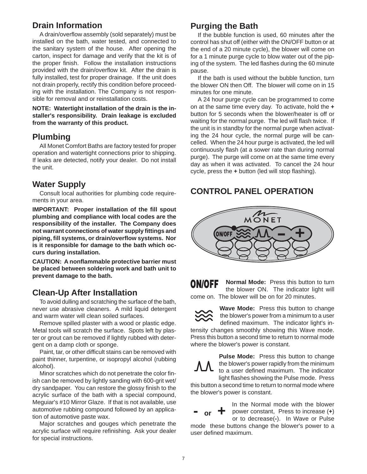### **Drain Information**

A drain/overflow assembly (sold separately) must be installed on the bath, water tested, and connected to the sanitary system of the house. After opening the carton, inspect for damage and verify that the kit is of the proper finish. Follow the installation instructions provided with the drain/overflow kit. After the drain is fully installed, test for proper drainage. If the unit does not drain properly, rectify this condition before proceeding with the installation. The Company is not responsible for removal and or reinstallation costs.

**NOTE: Watertight installation of the drain is the installer's responsibility. Drain leakage is excluded from the warranty of this product.**

### **Plumbing**

All Monet Comfort Baths are factory tested for proper operation and watertight connections prior to shipping. If leaks are detected, notify your dealer. Do not install the unit.

### **Water Supply**

Consult local authorities for plumbing code requirements in your area.

**IMPORTANT: Proper installation of the fill spout plumbing and compliance with local codes are the responsibility of the installer. The Company does not warrant connections of water supply fittings and piping, fill systems, or drain/overflow systems. Nor is it responsible for damage to the bath which occurs during installation.**

**CAUTION: A nonflammable protective barrier must be placed between soldering work and bath unit to prevent damage to the bath.**

### **Clean-Up After Installation**

To avoid dulling and scratching the surface of the bath, never use abrasive cleaners. A mild liquid detergent and warm water will clean soiled surfaces.

Remove spilled plaster with a wood or plastic edge. Metal tools will scratch the surface. Spots left by plaster or grout can be removed if lightly rubbed with detergent on a damp cloth or sponge.

Paint, tar, or other difficult stains can be removed with paint thinner, turpentine, or isopropyl alcohol (rubbing alcohol).

Minor scratches which do not penetrate the color finish can be removed by lightly sanding with 600-grit wet/ dry sandpaper. You can restore the glossy finish to the acrylic surface of the bath with a special compound, Meguiar's #10 Mirror Glaze. If that is not available, use automotive rubbing compound followed by an application of automotive paste wax.

Major scratches and gouges which penetrate the acrylic surface will require refinishing. Ask your dealer for special instructions.

### **Purging the Bath**

If the bubble function is used, 60 minutes after the control has shut off (either with the ON/OFF button or at the end of a 20 minute cycle), the blower will come on for a 1 minute purge cycle to blow water out of the piping of the system. The led flashes during the 60 minute pause.

If the bath is used without the bubble function, turn the blower ON then Off. The blower will come on in 15 minutes for one minute.

A 24 hour purge cycle can be programmed to come on at the same time every day. To activate, hold the **+** button for 5 seconds when the blower/heater is off or waiting for the normal purge. The led will flash twice. If the unit is in standby for the normal purge when activating the 24 hour cycle, the normal purge will be cancelled. When the 24 hour purge is activated, the led will continuously flash (at a sower rate than during normal purge). The purge will come on at the same time every day as when it was activated. To cancel the 24 hour cycle, press the **+** button (led will stop flashing).

### **CONTROL PANEL OPERATION**

![](_page_8_Picture_20.jpeg)

**Normal Mode:** Press this button to turn ON/OFF the blower ON. The indicator light will come on. The blower will be on for 20 minutes.

![](_page_8_Picture_22.jpeg)

**Wave Mode:** Press this button to change the blower's power from a minimum to a user defined maximum. The indicator light's in-

tensity changes smoothly showing this Wave mode. Press this button a second time to return to normal mode where the blower's power is constant.

![](_page_8_Picture_25.jpeg)

**Pulse Mode:** Press this button to change the blower's power rapidly from the minimum to a user defined maximum. The indicator light flashes showing the Pulse mode. Press

this button a second time to return to normal mode where the blower's power is constant.

![](_page_8_Picture_28.jpeg)

In the Normal mode with the blower **power constant, Press to increase (+)**<br> **-or + power constant, Press to increase (+)** or to decrease(**-**). In Wave or Pulse

mode these buttons change the blower's power to a user defined maximum.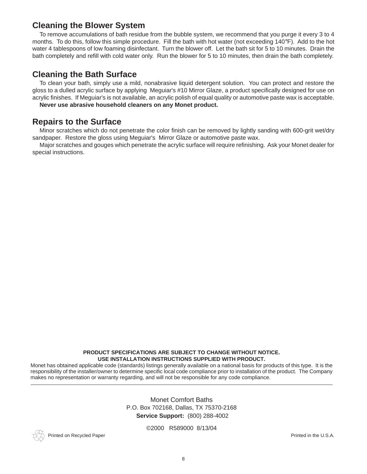## **Cleaning the Blower System**

To remove accumulations of bath residue from the bubble system, we recommend that you purge it every 3 to 4 months. To do this, follow this simple procedure. Fill the bath with hot water (not exceeding 140°F). Add to the hot water 4 tablespoons of low foaming disinfectant. Turn the blower off. Let the bath sit for 5 to 10 minutes. Drain the bath completely and refill with cold water only. Run the blower for 5 to 10 minutes, then drain the bath completely.

### **Cleaning the Bath Surface**

To clean your bath, simply use a mild, nonabrasive liquid detergent solution. You can protect and restore the gloss to a dulled acrylic surface by applying Meguiar's #10 Mirror Glaze, a product specifically designed for use on acrylic finishes. If Meguiar's is not available, an acrylic polish of equal quality or automotive paste wax is acceptable.

**Never use abrasive household cleaners on any Monet product.**

## **Repairs to the Surface**

Minor scratches which do not penetrate the color finish can be removed by lightly sanding with 600-grit wet/dry sandpaper. Restore the gloss using Meguiar's Mirror Glaze or automotive paste wax.

Major scratches and gouges which penetrate the acrylic surface will require refinishing. Ask your Monet dealer for special instructions.

#### **PRODUCT SPECIFICATIONS ARE SUBJECT TO CHANGE WITHOUT NOTICE. USE INSTALLATION INSTRUCTIONS SUPPLIED WITH PRODUCT.**

Monet has obtained applicable code (standards) listings generally available on a national basis for products of this type. It is the responsibility of the installer/owner to determine specific local code compliance prior to installation of the product. The Company makes no representation or warranty regarding, and will not be responsible for any code compliance.

> Monet Comfort Baths P.O. Box 702168, Dallas, TX 75370-2168 **Service Support:** (800) 288-4002

Printed on Recycled Paper **Printed in the U.S.A. Printed in the U.S.A.** 

©2000 R589000 8/13/04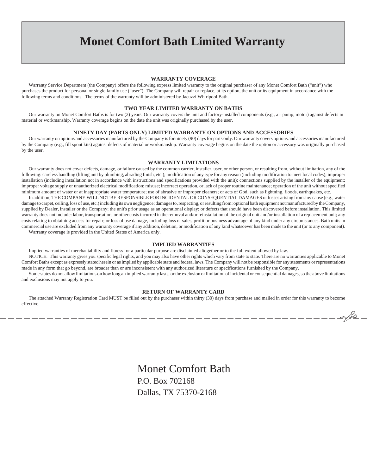## **Monet Comfort Bath Limited Warranty**

#### **WARRANTY COVERAGE**

Warranty Service Department (the Company) offers the following express limited warranty to the original purchaser of any Monet Comfort Bath ("unit") who purchases the product for personal or single family use ("user"). The Company will repair or replace, at its option, the unit or its equipment in accordance with the following terms and conditions. The terms of the warranty will be administered by Jacuzzi Whirlpool Bath.

#### **TWO YEAR LIMITED WARRANTY ON BATHS**

Our warranty on Monet Comfort Baths is for two (2) years. Our warranty covers the unit and factory-installed components (e.g., air pump, motor) against defects in material or workmanship. Warranty coverage begins on the date the unit was originally purchased by the user.

#### **NINETY DAY (PARTS ONLY) LIMITED WARRANTY ON OPTIONS AND ACCESSORIES**

Our warranty on options and accessories manufactured by the Company is for ninety (90) days for parts only. Our warranty covers options and accessories manufactured by the Company (e.g., fill spout kits) against defects of material or workmanship. Warranty coverage begins on the date the option or accessory was originally purchased by the user.

#### **WARRANTY LIMITATIONS**

Our warranty does not cover defects, damage, or failure caused by the common carrier, installer, user, or other person, or resulting from, without limitation, any of the following: careless handling (lifting unit by plumbing, abrading finish, etc.); modification of any type for any reason (including modification to meet local codes); improper installation (including installation not in accordance with instructions and specifications provided with the unit); connections supplied by the installer of the equipment; improper voltage supply or unauthorized electrical modification; misuse; incorrect operation, or lack of proper routine maintenance; operation of the unit without specified minimum amount of water or at inappropriate water temperature; use of abrasive or improper cleaners; or acts of God, such as lightning, floods, earthquakes, etc.

In addition, THE COMPANY WILL NOT BE RESPONSIBLE FOR INCIDENTAL OR CONSEQUENTIAL DAMAGES or losses arising from any cause (e.g., water damage to carpet, ceiling, loss of use, etc.) including its own negligence; damages to, respecting, or resulting from: optional bath equipment not manufactured by the Company, supplied by Dealer, installer or the Company; the unit's prior usage as an operational display; or defects that should have been discovered before installation. This limited warranty does not include: labor, transportation, or other costs incurred in the removal and/or reinstallation of the original unit and/or installation of a replacement unit; any costs relating to obtaining access for repair; or loss of use damage, including loss of sales, profit or business advantage of any kind under any circumstances. Bath units in commercial use are excluded from any warranty coverage if any addition, deletion, or modification of any kind whatsoever has been made to the unit (or to any component).

Warranty coverage is provided in the United States of America only.

#### **IMPLIED WARRANTIES**

Implied warranties of merchantability and fitness for a particular purpose are disclaimed altogether or to the full extent allowed by law.

NOTICE: This warranty gives you specific legal rights, and you may also have other rights which vary from state to state. There are no warranties applicable to Monet Comfort Baths except as expressly stated herein or as implied by applicable state and federal laws. The Company will not be responsible for any statements or representations made in any form that go beyond, are broader than or are inconsistent with any authorized literature or specifications furnished by the Company.

Some states do not allow limitations on how long an implied warranty lasts, or the exclusion or limitation of incidental or consequential damages, so the above limitations and exclusions may not apply to you.

#### **RETURN OF WARRANTY CARD**

The attached Warranty Registration Card MUST be filled out by the purchaser within thirty (30) days from purchase and mailed in order for this warranty to become effective.

> Monet Comfort Bath P.O. Box 702168 Dallas, TX 75370-2168